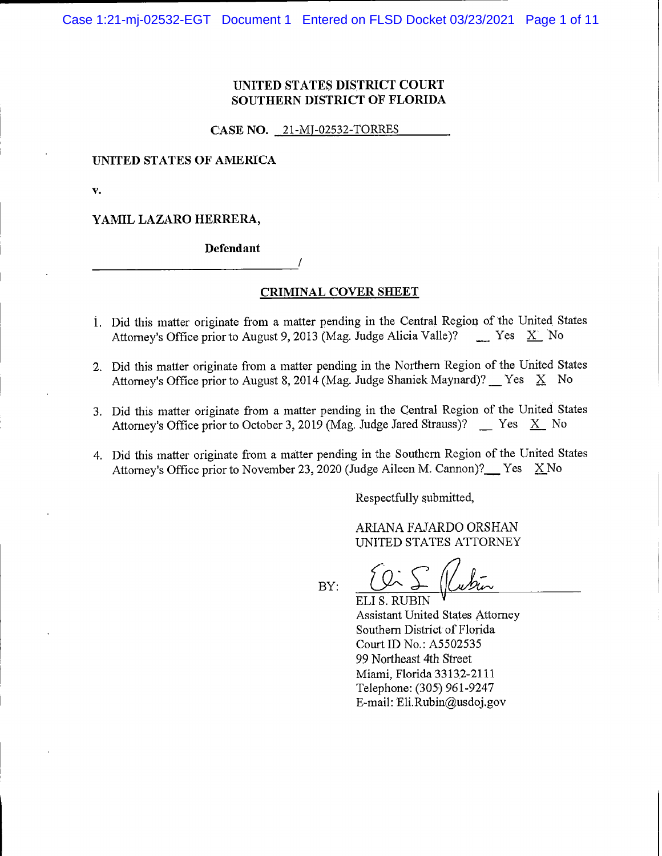## **UNITED STATES DISTRICT COURT SOUTHERN DISTRICT OF FLORIDA**

**CASE NO.** 21-MJ-02532-TORRES

### **UNITED STATES OF AMERICA**

v.

#### YAMIL LAZARO HERRERA,

**Defendant** 

#### **CRIMINAL COVER SHEET**

- 1. Did this matter originate from a matter pending in the Central Region of the United States Attorney's Office prior to August 9, 2013 (Mag. Judge Alicia Valle)? Yes X No
- 2. Did this matter originate from a matter pending in the Northern Region of the United States Attorney's Office prior to August 8, 2014 (Mag. Judge Shaniek Maynard)? Yes  $X$  No
- 3. Did this matter originate from a matter pending in the Central Region of the United States Attorney's Office prior to October 3, 2019 (Mag. Judge Jared Strauss)?  $\quad$  Yes  $\quad X \quad$  No
- 4. Did this matter originate from a matter pending in the Southern Region of the United States Attorney's Office prior to November 23, 2020 (Judge Aileen M. Cannon)? Yes X No

Respectfully submitted,

ARIANA FAJARDO ORSHAN UNITED STATES ATTORNEY

 $BY:$ 

ELI S. RUBIN **Assistant United States Attorney** Southern District of Florida Court ID No.: A5502535 99 Northeast 4th Street Miami, Florida 33132-2111 Telephone: (305) 961-9247 E-mail: Eli.Rubin@usdoj.gov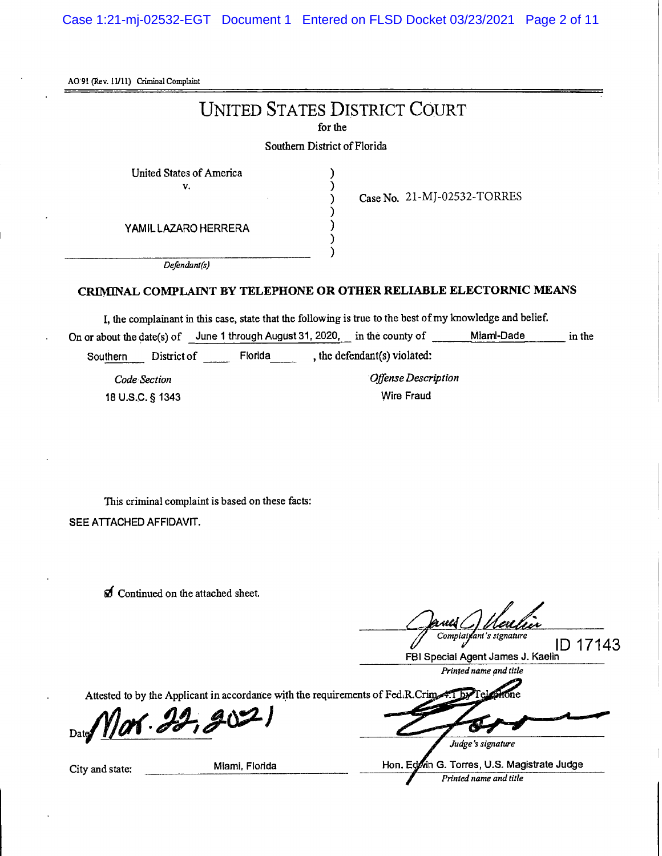Case 1:21-mj-02532-EGT Document 1 Entered on FLSD Docket 03/23/2021 Page 2 of 11

AO 91 (Rev. 11/11) Criminal Complaint

# **UNITED STATES DISTRICT COURT**

for the

## Southern District of Florida

United States of America v.

Case No. 21-MJ-02532-TORRES

YAMIL LAZARO HERRERA

Defendant(s)

## CRIMINAL COMPLAINT BY TELEPHONE OR OTHER RELIABLE ELECTORNIC MEANS

I, the complainant in this case, state that the following is true to the best of my knowledge and belief.

On or about the date(s) of June 1 through August 31, 2020, in the county of Miami-Dade in the , the defendant(s) violated: Southern District of Florida

Code Section 18 U.S.C. § 1343 Offense Description **Wire Fraud** 

This criminal complaint is based on these facts: SEE ATTACHED AFFIDAVIT.

**O** Continued on the attached sheet,

Complairant's signature

ID 17143 FBI Special Agent James J. Kaelin

Printed name and title

Attested to by the Applicant in accordance with the requirements of Fed.R.Crim

Date Mar. 22, 20

Judge's signature

Hon. Edwin G. Torres, U.S. Magistrate Judge Printed name and title

City and state:

Miami, Florida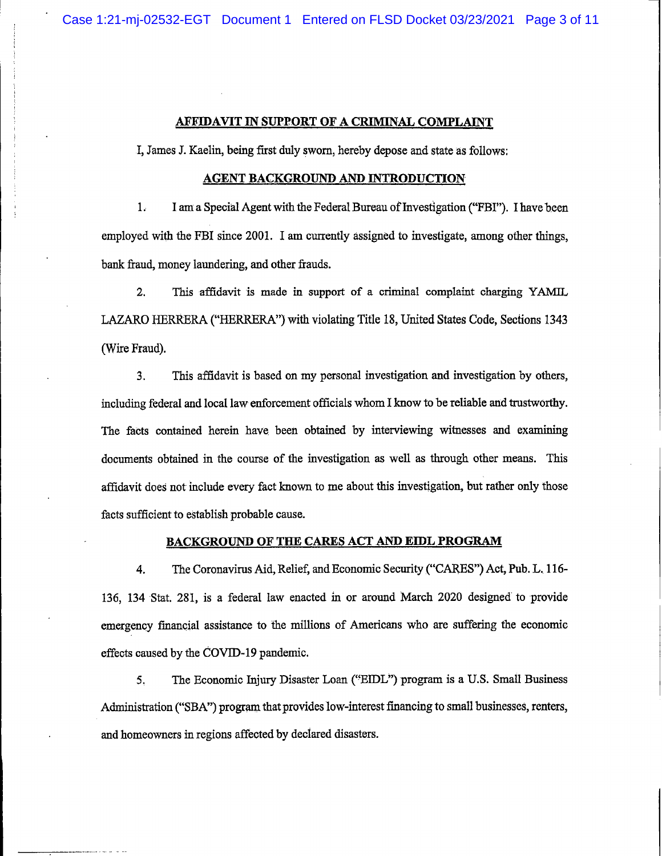#### AFFIDAVIT IN SUPPORT OF A CRIMINAL COMPLAINT

I, James J. Kaelin, being first duly sworn, hereby depose and state as follows:

#### **AGENT BACKGROUND AND INTRODUCTION**

 $1.$ I am a Special Agent with the Federal Bureau of Investigation ("FBI"). I have been employed with the FBI since 2001. I am currently assigned to investigate, among other things, bank fraud, money laundering, and other frauds.

 $2.$ This affidavit is made in support of a criminal complaint charging YAMIL LAZARO HERRERA ("HERRERA") with violating Title 18, United States Code, Sections 1343 (Wire Fraud).

This affidavit is based on my personal investigation and investigation by others, 3. including federal and local law enforcement officials whom I know to be reliable and trustworthy. The facts contained herein have been obtained by interviewing witnesses and examining documents obtained in the course of the investigation as well as through other means. This affidavit does not include every fact known to me about this investigation, but rather only those facts sufficient to establish probable cause.

### **BACKGROUND OF THE CARES ACT AND EIDL PROGRAM**

The Coronavirus Aid, Relief, and Economic Security ("CARES") Act, Pub. L. 116-4. 136, 134 Stat. 281, is a federal law enacted in or around March 2020 designed to provide emergency financial assistance to the millions of Americans who are suffering the economic effects caused by the COVID-19 pandemic.

The Economic Injury Disaster Loan ("EIDL") program is a U.S. Small Business 5. Administration ("SBA") program that provides low-interest financing to small businesses, renters, and homeowners in regions affected by declared disasters.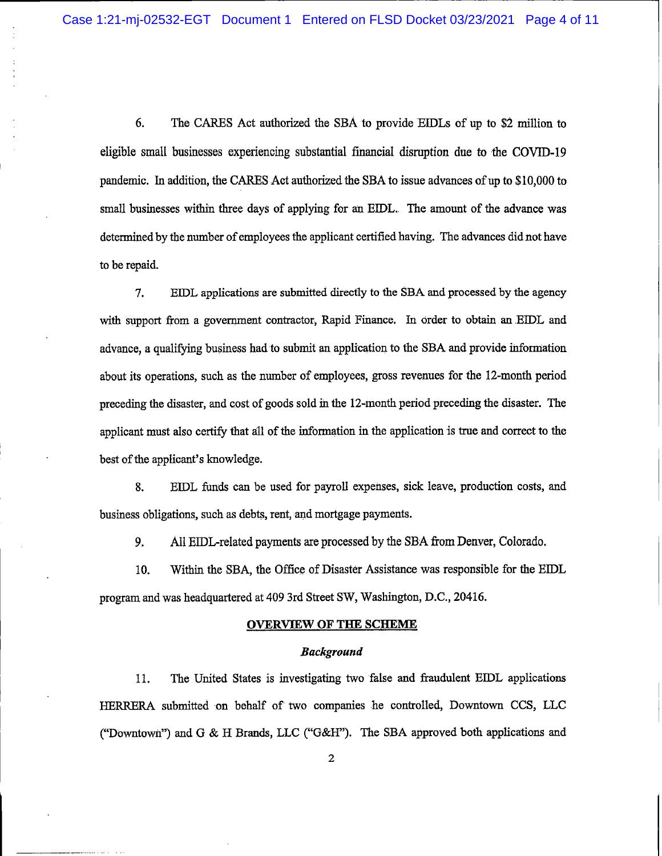6. The CARES Act authorized the SBA to provide EIDLs of up to \$2 million to eligible small businesses experiencing substantial financial disruption due to the COVID-19 pandemic. In addition, the CARES Act authorized the SBA to issue advances of up to \$10,000 to small businesses within three days of applying for an EIDL. The amount of the advance was determined by the number of employees the applicant certified having. The advances did not have to be repaid.

7. EIDL applications are submitted directly to the SBA and processed by the agency with support from a government contractor, Rapid Finance. In order to obtain an EIDL and advance, a qualifying business had to submit an application to the SBA and provide information about its operations, such as the number of employees, gross revenues for the 12-month period preceding the disaster, and cost of goods sold in the 12-month period preceding the disaster. The applicant must also certify that all of the information in the application is true and correct to the best of the applicant's knowledge.

8. EIDL funds can be used for payroll expenses, sick leave, production costs, and business obligations, such as debts, rent, and mortgage payments.

9. All EIDL-related payments are processed by the SBA from Denver, Colorado.

10. Within the SBA, the Office of Disaster Assistance was responsible for the EIDL program and was headquartered at 409 3rd Street SW, Washington, D.C., 20416.

#### **OVERVIEW OF THE SCHEME**

#### **Background**

The United States is investigating two false and fraudulent EIDL applications 11. HERRERA submitted on behalf of two companies he controlled, Downtown CCS, LLC ("Downtown") and G & H Brands, LLC ("G&H"). The SBA approved both applications and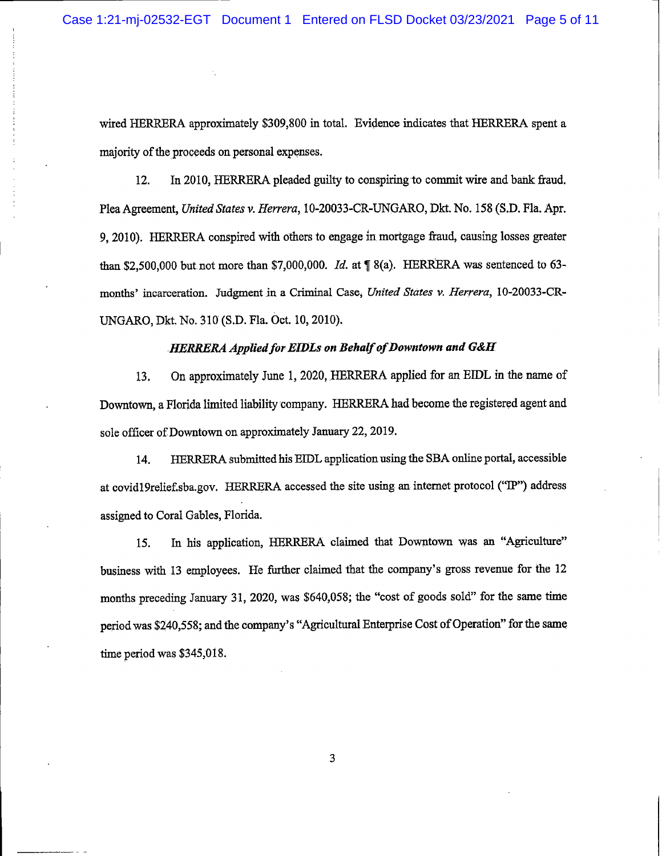wired HERRERA approximately \$309,800 in total. Evidence indicates that HERRERA spent a majority of the proceeds on personal expenses.

In 2010, HERRERA pleaded guilty to conspiring to commit wire and bank fraud.  $12.$ Plea Agreement, United States v. Herrera, 10-20033-CR-UNGARO, Dkt. No. 158 (S.D. Fla. Apr. 9, 2010). HERRERA conspired with others to engage in mortgage fraud, causing losses greater than \$2,500,000 but not more than \$7,000,000. Id. at  $\parallel$  8(a). HERRERA was sentenced to 63months' incarceration. Judgment in a Criminal Case, United States v. Herrera, 10-20033-CR-UNGARO, Dkt. No. 310 (S.D. Fla. Oct. 10, 2010).

#### **HERRERA Applied for EIDLs on Behalf of Downtown and G&H**

On approximately June 1, 2020, HERRERA applied for an EIDL in the name of 13. Downtown, a Florida limited liability company. HERRERA had become the registered agent and sole officer of Downtown on approximately January 22, 2019.

14. HERRERA submitted his EIDL application using the SBA online portal, accessible at covid19relief.sba.gov. HERRERA accessed the site using an internet protocol ("IP") address assigned to Coral Gables, Florida.

In his application, HERRERA claimed that Downtown was an "Agriculture" 15. business with 13 employees. He further claimed that the company's gross revenue for the 12 months preceding January 31, 2020, was \$640,058; the "cost of goods sold" for the same time period was \$240,558; and the company's "Agricultural Enterprise Cost of Operation" for the same time period was \$345,018.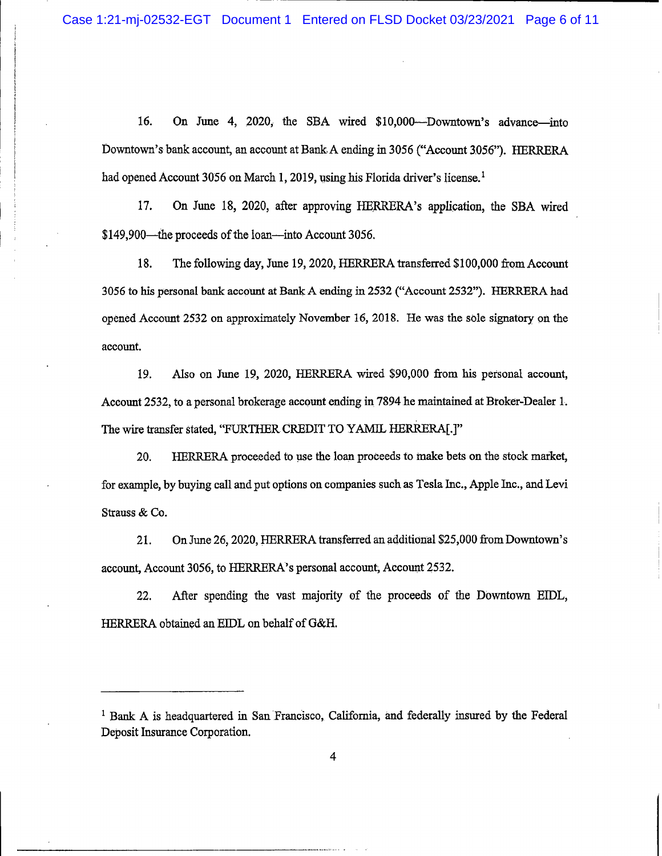16. On June 4, 2020, the SBA wired \$10,000—Downtown's advance—into Downtown's bank account, an account at Bank A ending in 3056 ("Account 3056"). HERRERA had opened Account 3056 on March 1, 2019, using his Florida driver's license.<sup>1</sup>

17. On June 18, 2020, after approving HERRERA's application, the SBA wired \$149,900—the proceeds of the loan—into Account 3056.

18. The following day, June 19, 2020, HERRERA transferred \$100,000 from Account 3056 to his personal bank account at Bank A ending in 2532 ("Account 2532"). HERRERA had opened Account 2532 on approximately November 16, 2018. He was the sole signatory on the account.

19. Also on June 19, 2020, HERRERA wired \$90,000 from his personal account, Account 2532, to a personal brokerage account ending in 7894 he maintained at Broker-Dealer 1. The wire transfer stated, "FURTHER CREDIT TO YAMIL HERRERA[.]"

20. HERRERA proceeded to use the loan proceeds to make bets on the stock market, for example, by buying call and put options on companies such as Tesla Inc., Apple Inc., and Levi Strauss & Co.

On June 26, 2020, HERRERA transferred an additional \$25,000 from Downtown's 21. account, Account 3056, to HERRERA's personal account, Account 2532.

22. After spending the vast majority of the proceeds of the Downtown EIDL, HERRERA obtained an EIDL on behalf of G&H.

<sup>&</sup>lt;sup>1</sup> Bank A is headquartered in San Francisco, California, and federally insured by the Federal Deposit Insurance Corporation.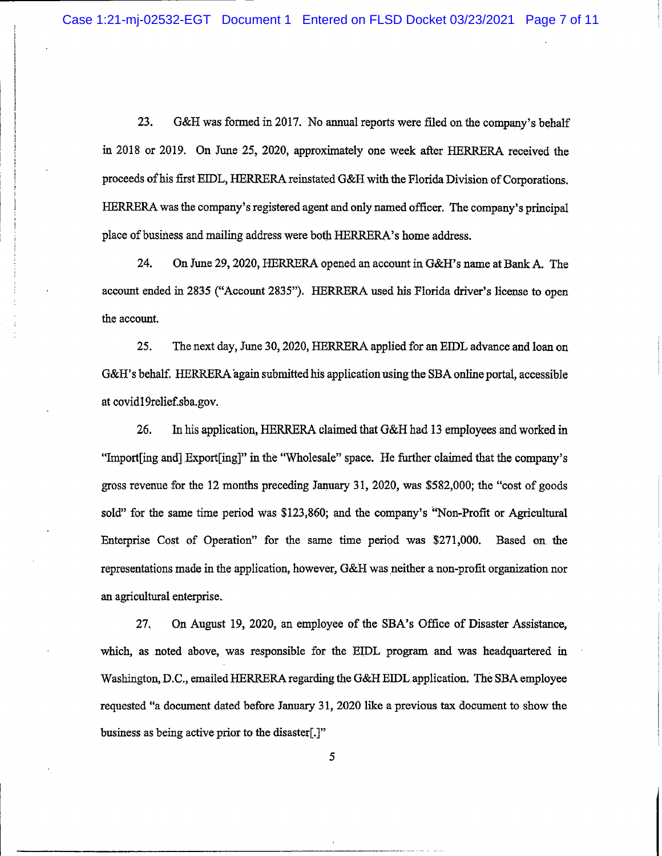23. G&H was formed in 2017. No annual reports were filed on the company's behalf in 2018 or 2019. On June 25, 2020, approximately one week after HERRERA received the proceeds of his first EIDL, HERRERA reinstated G&H with the Florida Division of Corporations. HERRERA was the company's registered agent and only named officer. The company's principal place of business and mailing address were both HERRERA's home address.

24. On June 29, 2020, HERRERA opened an account in G&H's name at Bank A. The account ended in 2835 ("Account 2835"). HERRERA used his Florida driver's license to open the account.

25. The next day, June 30, 2020, HERRERA applied for an EIDL advance and loan on G&H's behalf. HERRERA again submitted his application using the SBA online portal, accessible at covid19relief.sba.gov.

26. In his application, HERRERA claimed that G&H had 13 employees and worked in "Import[ing and] Export[ing]" in the "Wholesale" space. He further claimed that the company's gross revenue for the 12 months preceding January 31, 2020, was \$582,000; the "cost of goods" sold" for the same time period was \$123,860; and the company's "Non-Profit or Agricultural Enterprise Cost of Operation" for the same time period was \$271,000. Based on the representations made in the application, however, G&H was neither a non-profit organization nor an agricultural enterprise.

27. On August 19, 2020, an employee of the SBA's Office of Disaster Assistance, which, as noted above, was responsible for the EIDL program and was headquartered in Washington, D.C., emailed HERRERA regarding the G&H EIDL application. The SBA employee requested "a document dated before January 31, 2020 like a previous tax document to show the business as being active prior to the disaster[.]"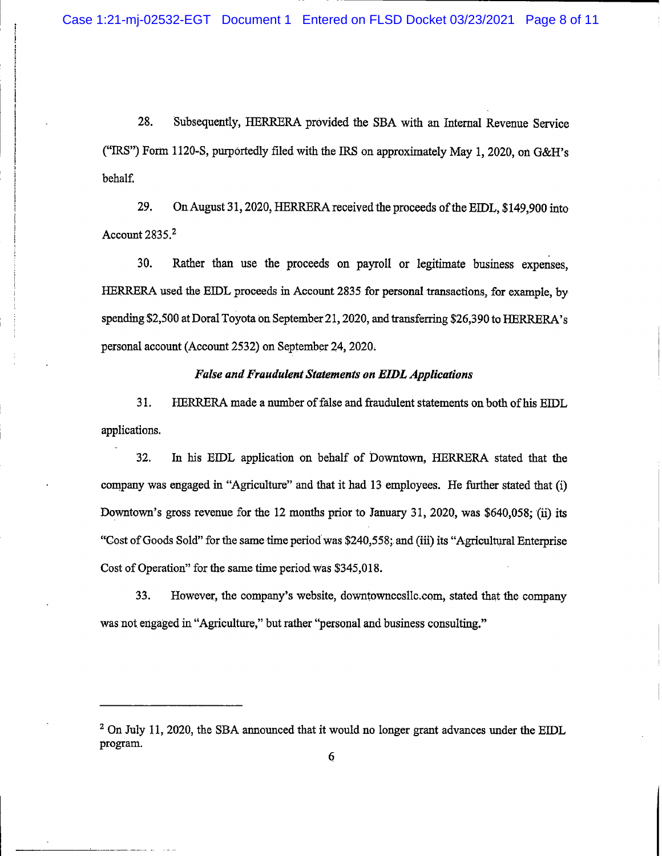28. Subsequently, HERRERA provided the SBA with an Internal Revenue Service ("IRS") Form 1120-S, purportedly filed with the IRS on approximately May 1, 2020, on G&H's behalf.

29. On August 31, 2020, HERRERA received the proceeds of the EIDL, \$149,900 into Account  $2835.<sup>2</sup>$ 

30. Rather than use the proceeds on payroll or legitimate business expenses. HERRERA used the EIDL proceeds in Account 2835 for personal transactions, for example, by spending \$2,500 at Doral Toyota on September 21, 2020, and transferring \$26,390 to HERRERA's personal account (Account 2532) on September 24, 2020.

## **False and Fraudulent Statements on EIDL Applications**

31. HERRERA made a number of false and fraudulent statements on both of his EIDL applications.

32. In his EIDL application on behalf of Downtown, HERRERA stated that the company was engaged in "Agriculture" and that it had 13 employees. He further stated that (i) Downtown's gross revenue for the 12 months prior to January 31, 2020, was \$640,058; (ii) its "Cost of Goods Sold" for the same time period was \$240,558; and (iii) its "Agricultural Enterprise" Cost of Operation" for the same time period was \$345,018.

33. However, the company's website, downtownccsllc.com, stated that the company was not engaged in "Agriculture," but rather "personal and business consulting."

 $2$  On July 11, 2020, the SBA announced that it would no longer grant advances under the EIDL program.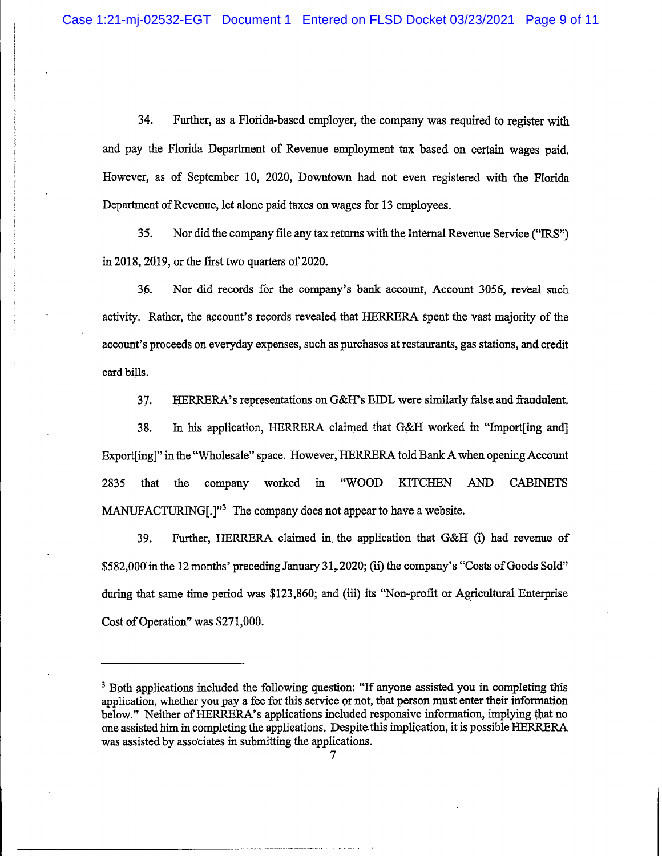34. Further, as a Florida-based employer, the company was required to register with and pay the Florida Department of Revenue employment tax based on certain wages paid. However, as of September 10, 2020, Downtown had not even registered with the Florida Department of Revenue, let alone paid taxes on wages for 13 employees.

35. Nor did the company file any tax returns with the Internal Revenue Service ("IRS") in 2018, 2019, or the first two quarters of 2020.

36. Nor did records for the company's bank account, Account 3056, reveal such activity. Rather, the account's records revealed that HERRERA spent the vast majority of the account's proceeds on everyday expenses, such as purchases at restaurants, gas stations, and credit card bills.

37. HERRERA's representations on G&H's EIDL were similarly false and fraudulent.

38. In his application, HERRERA claimed that G&H worked in "Import[ing and] Export [ing]" in the "Wholesale" space. However, HERRERA told Bank A when opening Account 2835 that the company worked "WOOD **KITCHEN** AND **CABINETS** in MANUFACTURING[.]"<sup>3</sup> The company does not appear to have a website.

39. Further, HERRERA claimed in the application that G&H (i) had revenue of \$582,000 in the 12 months' preceding January 31, 2020; (ii) the company's "Costs of Goods Sold" during that same time period was \$123,860; and (iii) its "Non-profit or Agricultural Enterprise Cost of Operation" was \$271,000.

<sup>&</sup>lt;sup>3</sup> Both applications included the following question: "If anyone assisted you in completing this application, whether you pay a fee for this service or not, that person must enter their information below." Neither of HERRERA's applications included responsive information, implying that no one assisted him in completing the applications. Despite this implication, it is possible HERRERA was assisted by associates in submitting the applications.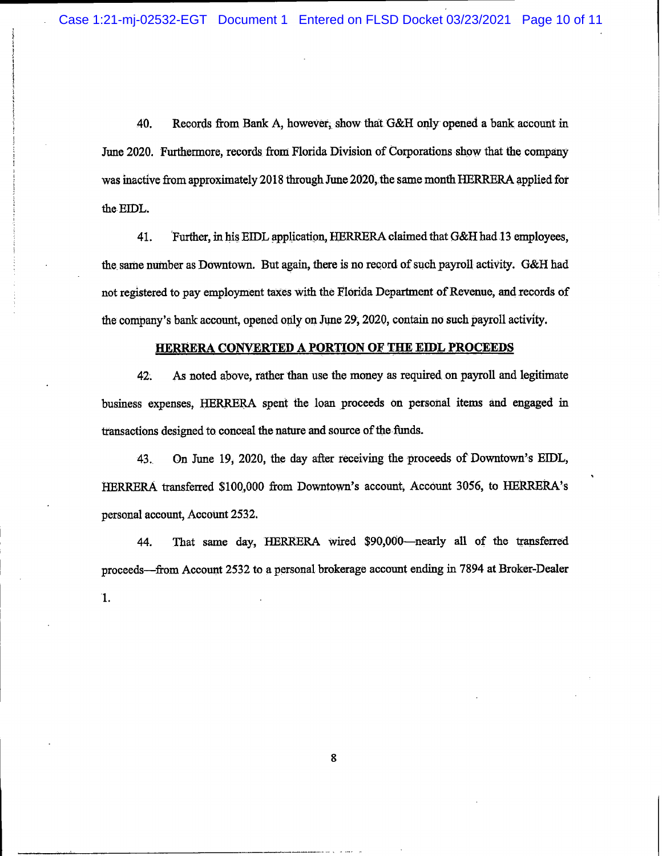40. Records from Bank A, however, show that G&H only opened a bank account in June 2020. Furthermore, records from Florida Division of Corporations show that the company was inactive from approximately 2018 through June 2020, the same month HERRERA applied for the EIDL.

Further, in his EIDL application, HERRERA claimed that G&H had 13 employees. 41. the same number as Downtown. But again, there is no record of such payroll activity. G&H had not registered to pay employment taxes with the Florida Department of Revenue, and records of the company's bank account, opened only on June 29, 2020, contain no such payroll activity.

#### HERRERA CONVERTED A PORTION OF THE EIDL PROCEEDS

As noted above, rather than use the money as required on payroll and legitimate 42. business expenses, HERRERA spent the loan proceeds on personal items and engaged in transactions designed to conceal the nature and source of the funds.

43. On June 19, 2020, the day after receiving the proceeds of Downtown's EIDL, HERRERA transferred \$100,000 from Downtown's account, Account 3056, to HERRERA's personal account, Account 2532.

That same day, HERRERA wired \$90,000-nearly all of the transferred 44. proceeds—from Account 2532 to a personal brokerage account ending in 7894 at Broker-Dealer  $\mathbf{1}$ .